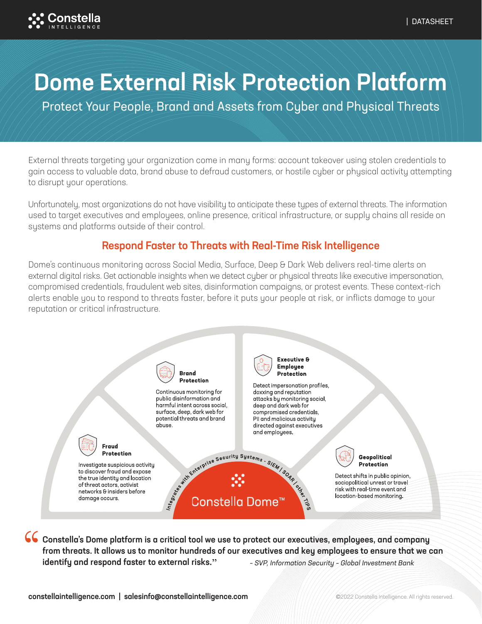

# Dome External Risk Protection Platform

Protect Your People, Brand and Assets from Cyber and Physical Threats

External threats targeting your organization come in many forms: account takeover using stolen credentials to gain access to valuable data, brand abuse to defraud customers, or hostile cyber or physical activity attempting to disrupt your operations.

Unfortunately, most organizations do not have visibility to anticipate these types of external threats. The information used to target executives and employees, online presence, critical infrastructure, or supply chains all reside on systems and platforms outside of their control.

## Respond Faster to Threats with Real-Time Risk Intelligence

Dome's continuous monitoring across Social Media, Surface, Deep & Dark Web delivers real-time alerts on external digital risks. Get actionable insights when we detect cyber or physical threats like executive impersonation, compromised credentials, fraudulent web sites, disinformation campaigns, or protest events. These context-rich alerts enable you to respond to threats faster, before it puts your people at risk, or inflicts damage to your reputation or critical infrastructure.



Constella's Dome platform is a critical tool we use to protect our executives, employees, and company from threats. It allows us to monitor hundreds of our executives and key employees to ensure that we can identify and respond faster to external risks**."** – SVP, Information Security – Global Investment Bank